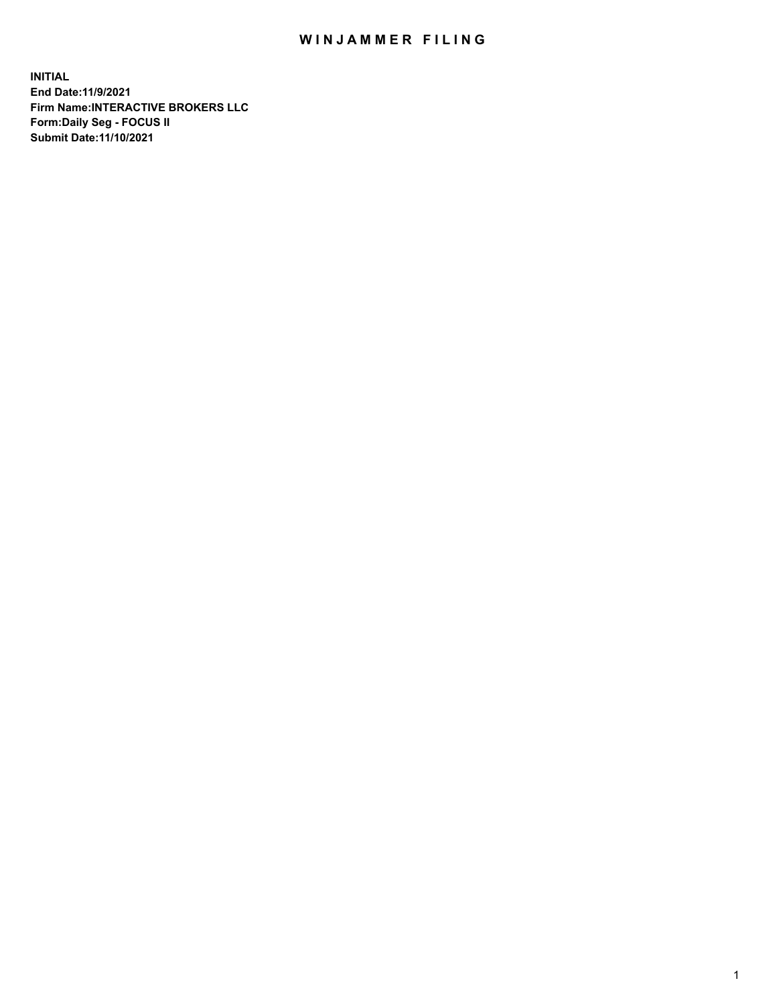## WIN JAMMER FILING

**INITIAL End Date:11/9/2021 Firm Name:INTERACTIVE BROKERS LLC Form:Daily Seg - FOCUS II Submit Date:11/10/2021**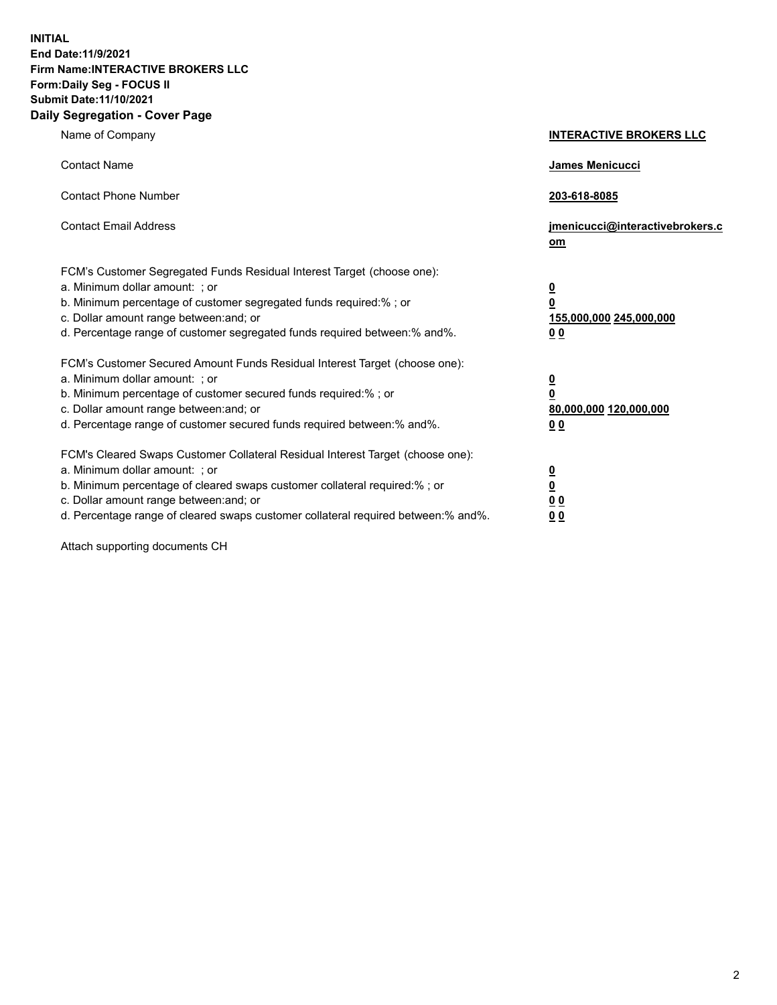**INITIAL End Date:11/9/2021 Firm Name:INTERACTIVE BROKERS LLC Form:Daily Seg - FOCUS II Submit Date:11/10/2021 Daily Segregation - Cover Page**

| Name of Company                                                                                                                                                                                                                                                                                                                | <b>INTERACTIVE BROKERS LLC</b>                                                                  |  |
|--------------------------------------------------------------------------------------------------------------------------------------------------------------------------------------------------------------------------------------------------------------------------------------------------------------------------------|-------------------------------------------------------------------------------------------------|--|
| <b>Contact Name</b>                                                                                                                                                                                                                                                                                                            | James Menicucci                                                                                 |  |
| <b>Contact Phone Number</b>                                                                                                                                                                                                                                                                                                    | 203-618-8085                                                                                    |  |
| <b>Contact Email Address</b>                                                                                                                                                                                                                                                                                                   | jmenicucci@interactivebrokers.c<br>om                                                           |  |
| FCM's Customer Segregated Funds Residual Interest Target (choose one):<br>a. Minimum dollar amount: ; or<br>b. Minimum percentage of customer segregated funds required:% ; or<br>c. Dollar amount range between: and; or<br>d. Percentage range of customer segregated funds required between:% and%.                         | $\overline{\mathbf{0}}$<br>$\overline{\mathbf{0}}$<br>155,000,000 245,000,000<br>0 <sub>0</sub> |  |
| FCM's Customer Secured Amount Funds Residual Interest Target (choose one):<br>a. Minimum dollar amount: ; or<br>b. Minimum percentage of customer secured funds required:% ; or<br>c. Dollar amount range between: and; or<br>d. Percentage range of customer secured funds required between: % and %.                         | $\overline{\mathbf{0}}$<br>$\overline{\mathbf{0}}$<br>80,000,000 120,000,000<br>0 <sub>0</sub>  |  |
| FCM's Cleared Swaps Customer Collateral Residual Interest Target (choose one):<br>a. Minimum dollar amount: ; or<br>b. Minimum percentage of cleared swaps customer collateral required:% ; or<br>c. Dollar amount range between: and; or<br>d. Percentage range of cleared swaps customer collateral required between:% and%. | $\overline{\mathbf{0}}$<br>$\overline{\mathbf{0}}$<br>0 <sub>0</sub><br>0 <sub>0</sub>          |  |

Attach supporting documents CH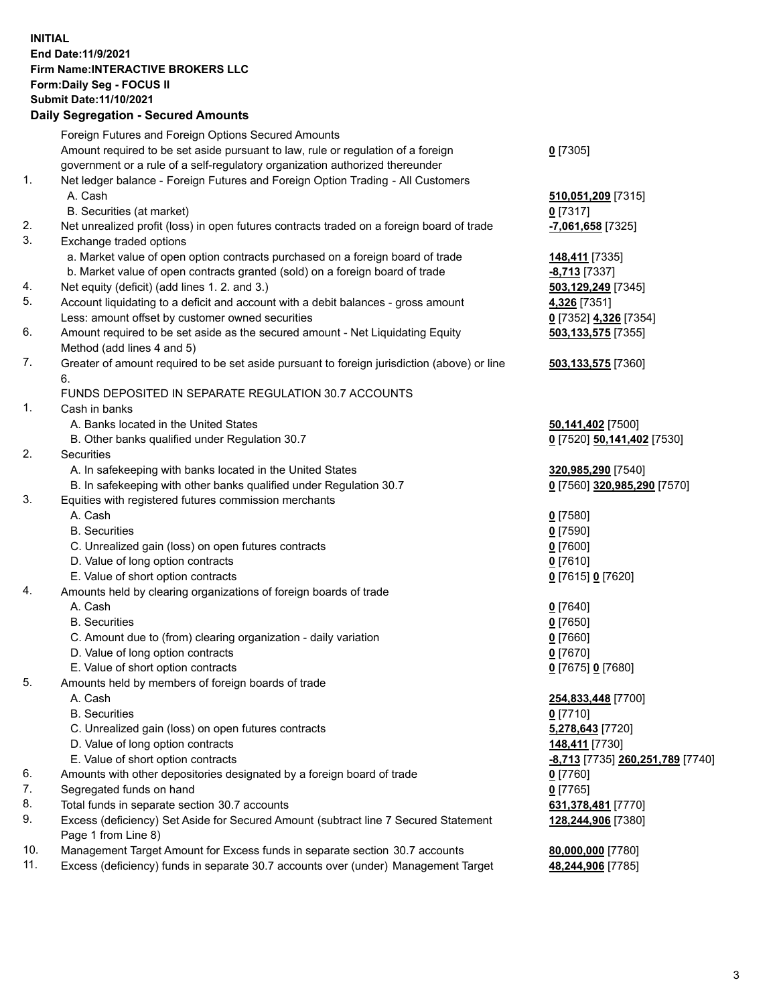**INITIAL End Date:11/9/2021 Firm Name:INTERACTIVE BROKERS LLC Form:Daily Seg - FOCUS II Submit Date:11/10/2021 Daily Segregation - Secured Amounts**

## Foreign Futures and Foreign Options Secured Amounts Amount required to be set aside pursuant to law, rule or regulation of a foreign government or a rule of a self-regulatory organization authorized thereunder **0** [7305] 1. Net ledger balance - Foreign Futures and Foreign Option Trading - All Customers A. Cash **510,051,209** [7315] B. Securities (at market) **0** [7317] 2. Net unrealized profit (loss) in open futures contracts traded on a foreign board of trade **-7,061,658** [7325] 3. Exchange traded options a. Market value of open option contracts purchased on a foreign board of trade **148,411** [7335] b. Market value of open contracts granted (sold) on a foreign board of trade **-8,713** [7337] 4. Net equity (deficit) (add lines 1. 2. and 3.) **503,129,249** [7345] 5. Account liquidating to a deficit and account with a debit balances - gross amount **4,326** [7351] Less: amount offset by customer owned securities **0** [7352] **4,326** [7354] 6. Amount required to be set aside as the secured amount - Net Liquidating Equity Method (add lines 4 and 5) **503,133,575** [7355] 7. Greater of amount required to be set aside pursuant to foreign jurisdiction (above) or line 6. **503,133,575** [7360] FUNDS DEPOSITED IN SEPARATE REGULATION 30.7 ACCOUNTS 1. Cash in banks A. Banks located in the United States **50,141,402** [7500] B. Other banks qualified under Regulation 30.7 **0** [7520] **50,141,402** [7530] 2. Securities A. In safekeeping with banks located in the United States **320,985,290** [7540] B. In safekeeping with other banks qualified under Regulation 30.7 **0** [7560] **320,985,290** [7570] 3. Equities with registered futures commission merchants A. Cash **0** [7580] B. Securities **0** [7590] C. Unrealized gain (loss) on open futures contracts **0** [7600] D. Value of long option contracts **0** [7610] E. Value of short option contracts **0** [7615] **0** [7620] 4. Amounts held by clearing organizations of foreign boards of trade A. Cash **0** [7640] B. Securities **0** [7650] C. Amount due to (from) clearing organization - daily variation **0** [7660] D. Value of long option contracts **0** [7670] E. Value of short option contracts **0** [7675] **0** [7680] 5. Amounts held by members of foreign boards of trade A. Cash **254,833,448** [7700] B. Securities **0** [7710] C. Unrealized gain (loss) on open futures contracts **5,278,643** [7720] D. Value of long option contracts **148,411** [7730] E. Value of short option contracts **-8,713** [7735] **260,251,789** [7740] 6. Amounts with other depositories designated by a foreign board of trade **0** [7760] 7. Segregated funds on hand **0** [7765] 8. Total funds in separate section 30.7 accounts **631,378,481** [7770] 9. Excess (deficiency) Set Aside for Secured Amount (subtract line 7 Secured Statement Page 1 from Line 8) **128,244,906** [7380] 10. Management Target Amount for Excess funds in separate section 30.7 accounts **80,000,000** [7780] 11. Excess (deficiency) funds in separate 30.7 accounts over (under) Management Target **48,244,906** [7785]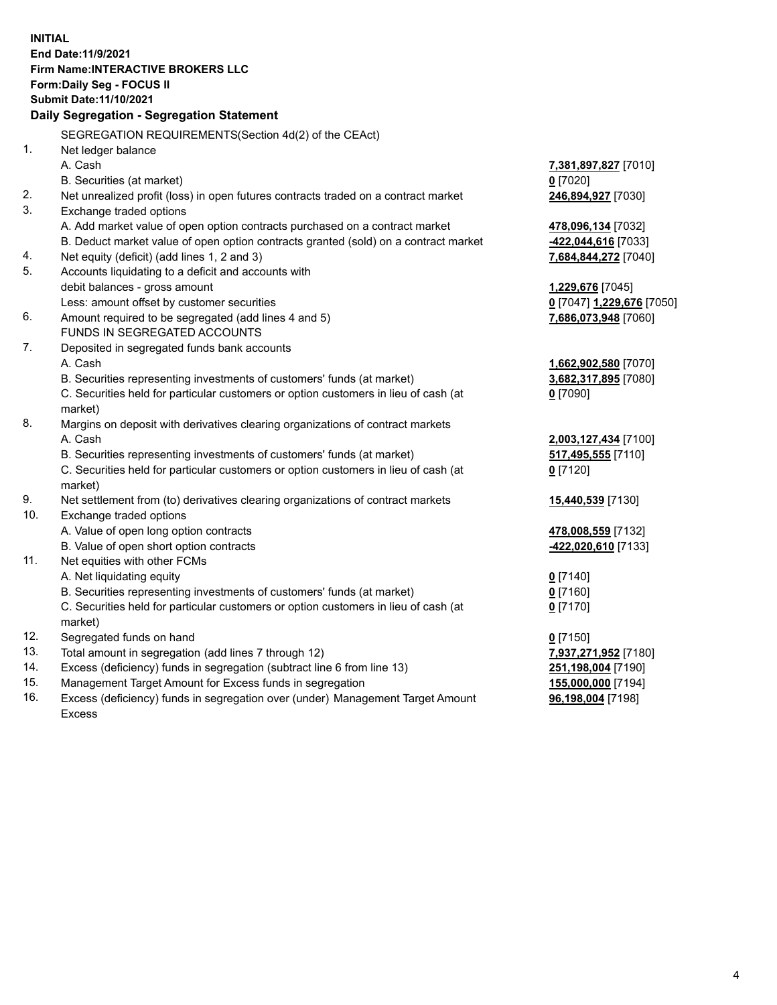**INITIAL End Date:11/9/2021 Firm Name:INTERACTIVE BROKERS LLC Form:Daily Seg - FOCUS II Submit Date:11/10/2021 Daily Segregation - Segregation Statement** SEGREGATION REQUIREMENTS(Section 4d(2) of the CEAct) 1. Net ledger balance A. Cash **7,381,897,827** [7010] B. Securities (at market) **0** [7020] 2. Net unrealized profit (loss) in open futures contracts traded on a contract market **246,894,927** [7030] 3. Exchange traded options A. Add market value of open option contracts purchased on a contract market **478,096,134** [7032] B. Deduct market value of open option contracts granted (sold) on a contract market **-422,044,616** [7033] 4. Net equity (deficit) (add lines 1, 2 and 3) **7,684,844,272** [7040] 5. Accounts liquidating to a deficit and accounts with debit balances - gross amount **1,229,676** [7045] Less: amount offset by customer securities **0** [7047] **1,229,676** [7050] 6. Amount required to be segregated (add lines 4 and 5) **7,686,073,948** [7060] FUNDS IN SEGREGATED ACCOUNTS 7. Deposited in segregated funds bank accounts A. Cash **1,662,902,580** [7070] B. Securities representing investments of customers' funds (at market) **3,682,317,895** [7080] C. Securities held for particular customers or option customers in lieu of cash (at market) **0** [7090] 8. Margins on deposit with derivatives clearing organizations of contract markets A. Cash **2,003,127,434** [7100] B. Securities representing investments of customers' funds (at market) **517,495,555** [7110] C. Securities held for particular customers or option customers in lieu of cash (at market) **0** [7120] 9. Net settlement from (to) derivatives clearing organizations of contract markets **15,440,539** [7130] 10. Exchange traded options A. Value of open long option contracts **478,008,559** [7132] B. Value of open short option contracts **-422,020,610** [7133] 11. Net equities with other FCMs A. Net liquidating equity **0** [7140] B. Securities representing investments of customers' funds (at market) **0** [7160] C. Securities held for particular customers or option customers in lieu of cash (at market) **0** [7170] 12. Segregated funds on hand **0** [7150] 13. Total amount in segregation (add lines 7 through 12) **7,937,271,952** [7180] 14. Excess (deficiency) funds in segregation (subtract line 6 from line 13) **251,198,004** [7190] 15. Management Target Amount for Excess funds in segregation **155,000,000** [7194] **96,198,004** [7198]

16. Excess (deficiency) funds in segregation over (under) Management Target Amount Excess